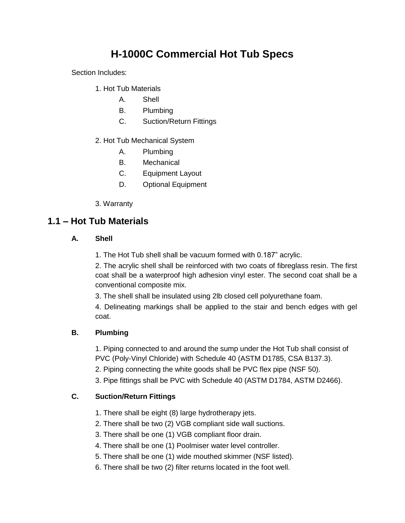# **H-1000C Commercial Hot Tub Specs**

Section Includes:

- 1. Hot Tub Materials
	- A. Shell
	- B. Plumbing
	- C. Suction/Return Fittings
- 2. Hot Tub Mechanical System
	- A. Plumbing
	- B. Mechanical
	- C. Equipment Layout
	- D. Optional Equipment
- 3. Warranty

## **1.1 – Hot Tub Materials**

#### **A. Shell**

1. The Hot Tub shell shall be vacuum formed with 0.187" acrylic.

2. The acrylic shell shall be reinforced with two coats of fibreglass resin. The first coat shall be a waterproof high adhesion vinyl ester. The second coat shall be a conventional composite mix.

3. The shell shall be insulated using 2lb closed cell polyurethane foam.

4. Delineating markings shall be applied to the stair and bench edges with gel coat.

#### **B. Plumbing**

1. Piping connected to and around the sump under the Hot Tub shall consist of PVC (Poly-Vinyl Chloride) with Schedule 40 (ASTM D1785, CSA B137.3).

2. Piping connecting the white goods shall be PVC flex pipe (NSF 50).

3. Pipe fittings shall be PVC with Schedule 40 (ASTM D1784, ASTM D2466).

#### **C. Suction/Return Fittings**

- 1. There shall be eight (8) large hydrotherapy jets.
- 2. There shall be two (2) VGB compliant side wall suctions.
- 3. There shall be one (1) VGB compliant floor drain.
- 4. There shall be one (1) Poolmiser water level controller.
- 5. There shall be one (1) wide mouthed skimmer (NSF listed).
- 6. There shall be two (2) filter returns located in the foot well.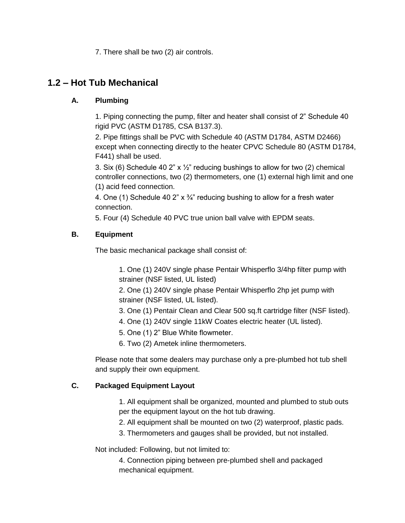7. There shall be two (2) air controls.

# **1.2 – Hot Tub Mechanical**

### **A. Plumbing**

1. Piping connecting the pump, filter and heater shall consist of 2" Schedule 40 rigid PVC (ASTM D1785, CSA B137.3).

2. Pipe fittings shall be PVC with Schedule 40 (ASTM D1784, ASTM D2466) except when connecting directly to the heater CPVC Schedule 80 (ASTM D1784, F441) shall be used.

3. Six (6) Schedule 40 2" x  $\frac{1}{2}$ " reducing bushings to allow for two (2) chemical controller connections, two (2) thermometers, one (1) external high limit and one (1) acid feed connection.

4. One (1) Schedule 40 2"  $\times$  3/4" reducing bushing to allow for a fresh water connection.

5. Four (4) Schedule 40 PVC true union ball valve with EPDM seats.

## **B. Equipment**

The basic mechanical package shall consist of:

1. One (1) 240V single phase Pentair Whisperflo 3/4hp filter pump with strainer (NSF listed, UL listed)

2. One (1) 240V single phase Pentair Whisperflo 2hp jet pump with strainer (NSF listed, UL listed).

- 3. One (1) Pentair Clean and Clear 500 sq.ft cartridge filter (NSF listed).
- 4. One (1) 240V single 11kW Coates electric heater (UL listed).
- 5. One (1) 2" Blue White flowmeter.
- 6. Two (2) Ametek inline thermometers.

Please note that some dealers may purchase only a pre-plumbed hot tub shell and supply their own equipment.

#### **C. Packaged Equipment Layout**

1. All equipment shall be organized, mounted and plumbed to stub outs per the equipment layout on the hot tub drawing.

- 2. All equipment shall be mounted on two (2) waterproof, plastic pads.
- 3. Thermometers and gauges shall be provided, but not installed.

Not included: Following, but not limited to:

4. Connection piping between pre-plumbed shell and packaged mechanical equipment.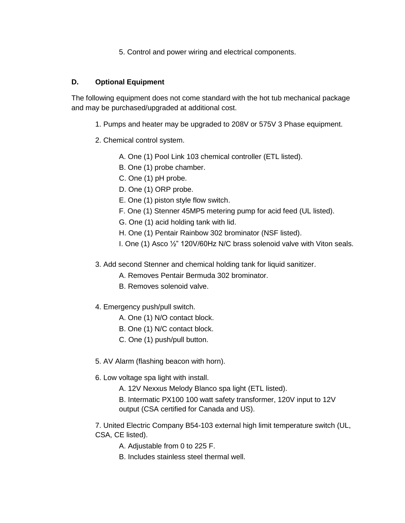5. Control and power wiring and electrical components.

#### **D. Optional Equipment**

The following equipment does not come standard with the hot tub mechanical package and may be purchased/upgraded at additional cost.

- 1. Pumps and heater may be upgraded to 208V or 575V 3 Phase equipment.
- 2. Chemical control system.
	- A. One (1) Pool Link 103 chemical controller (ETL listed).
	- B. One (1) probe chamber.
	- C. One (1) pH probe.
	- D. One (1) ORP probe.
	- E. One (1) piston style flow switch.
	- F. One (1) Stenner 45MP5 metering pump for acid feed (UL listed).
	- G. One (1) acid holding tank with lid.
	- H. One (1) Pentair Rainbow 302 brominator (NSF listed).
	- I. One (1) Asco ½" 120V/60Hz N/C brass solenoid valve with Viton seals.
- 3. Add second Stenner and chemical holding tank for liquid sanitizer.
	- A. Removes Pentair Bermuda 302 brominator.
	- B. Removes solenoid valve.
- 4. Emergency push/pull switch.
	- A. One (1) N/O contact block.
	- B. One (1) N/C contact block.
	- C. One (1) push/pull button.
- 5. AV Alarm (flashing beacon with horn).
- 6. Low voltage spa light with install.
	- A. 12V Nexxus Melody Blanco spa light (ETL listed).
	- B. Intermatic PX100 100 watt safety transformer, 120V input to 12V output (CSA certified for Canada and US).
- 7. United Electric Company B54-103 external high limit temperature switch (UL, CSA, CE listed).
	- A. Adjustable from 0 to 225 F.
	- B. Includes stainless steel thermal well.